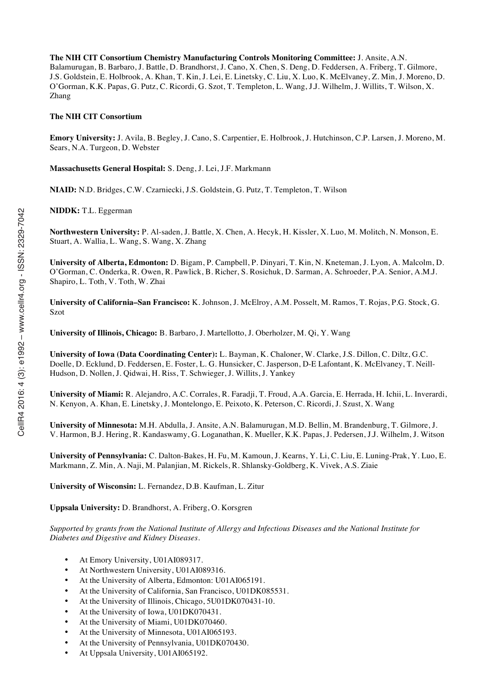**The NIH CIT Consortium Chemistry Manufacturing Controls Monitoring Committee:** J. Ansite, A.N. Balamurugan, B. Barbaro, J. Battle, D. Brandhorst, J. Cano, X. Chen, S. Deng, D. Feddersen, A. Friberg, T. Gilmore, J.S. Goldstein, E. Holbrook, A. Khan, T. Kin, J. Lei, E. Linetsky, C. Liu, X. Luo, K. McElvaney, Z. Min, J. Moreno, D. O'Gorman, K.K. Papas, G. Putz, C. Ricordi, G. Szot, T. Templeton, L. Wang, J.J. Wilhelm, J. Willits, T. Wilson, X. Zhang

## **The NIH CIT Consortium**

**Emory University:** J. Avila, B. Begley, J. Cano, S. Carpentier, E. Holbrook, J. Hutchinson, C.P. Larsen, J. Moreno, M. Sears, N.A. Turgeon, D. Webster

**Massachusetts General Hospital:** S. Deng, J. Lei, J.F. Markmann

**NIAID:** N.D. Bridges, C.W. Czarniecki, J.S. Goldstein, G. Putz, T. Templeton, T. Wilson

**NIDDK:** T.L. Eggerman

**Northwestern University:** P. Al-saden, J. Battle, X. Chen, A. Hecyk, H. Kissler, X. Luo, M. Molitch, N. Monson, E. Stuart, A. Wallia, L. Wang, S. Wang, X. Zhang

**University of Alberta, Edmonton:** D. Bigam, P. Campbell, P. Dinyari, T. Kin, N. Kneteman, J. Lyon, A. Malcolm, D. O'Gorman, C. Onderka, R. Owen, R. Pawlick, B. Richer, S. Rosichuk, D. Sarman, A. Schroeder, P.A. Senior, A.M.J. Shapiro, L. Toth, V. Toth, W. Zhai

**University of California–San Francisco:** K. Johnson, J. McElroy, A.M. Posselt, M. Ramos, T. Rojas, P.G. Stock, G. Szot

**University of Illinois, Chicago:** B. Barbaro, J. Martellotto, J. Oberholzer, M. Qi, Y. Wang

**University of Iowa (Data Coordinating Center):** L. Bayman, K. Chaloner, W. Clarke, J.S. Dillon, C. Diltz, G.C. Doelle, D. Ecklund, D. Feddersen, E. Foster, L. G. Hunsicker, C. Jasperson, D-E Lafontant, K. McElvaney, T. Neill-Hudson, D. Nollen, J. Qidwai, H. Riss, T. Schwieger, J. Willits, J. Yankey

**University of Miami:** R. Alejandro, A.C. Corrales, R. Faradji, T. Froud, A.A. Garcia, E. Herrada, H. Ichii, L. Inverardi, N. Kenyon, A. Khan, E. Linetsky, J. Montelongo, E. Peixoto, K. Peterson, C. Ricordi, J. Szust, X. Wang

**University of Minnesota:** M.H. Abdulla, J. Ansite, A.N. Balamurugan, M.D. Bellin, M. Brandenburg, T. Gilmore, J. V. Harmon, B.J. Hering, R. Kandaswamy, G. Loganathan, K. Mueller, K.K. Papas, J. Pedersen, J.J. Wilhelm, J. Witson

**University of Pennsylvania:** C. Dalton-Bakes, H. Fu, M. Kamoun, J. Kearns, Y. Li, C. Liu, E. Luning-Prak, Y. Luo, E. Markmann, Z. Min, A. Naji, M. Palanjian, M. Rickels, R. Shlansky-Goldberg, K. Vivek, A.S. Ziaie

**University of Wisconsin:** L. Fernandez, D.B. Kaufman, L. Zitur

**Uppsala University:** D. Brandhorst, A. Friberg, O. Korsgren

*Supported by grants from the National Institute of Allergy and Infectious Diseases and the National Institute for Diabetes and Digestive and Kidney Diseases.*

- At Emory University, U01AI089317.
- At Northwestern University, U01AI089316.
- At the University of Alberta, Edmonton: U01AI065191.
- At the University of California, San Francisco, U01DK085531.
- At the University of Illinois, Chicago, 5U01DK070431-10.
- At the University of Iowa, U01DK070431.
- At the University of Miami, U01DK070460.
- At the University of Minnesota, U01AI065193.
- At the University of Pennsylvania, U01DK070430.
- At Uppsala University, U01AI065192.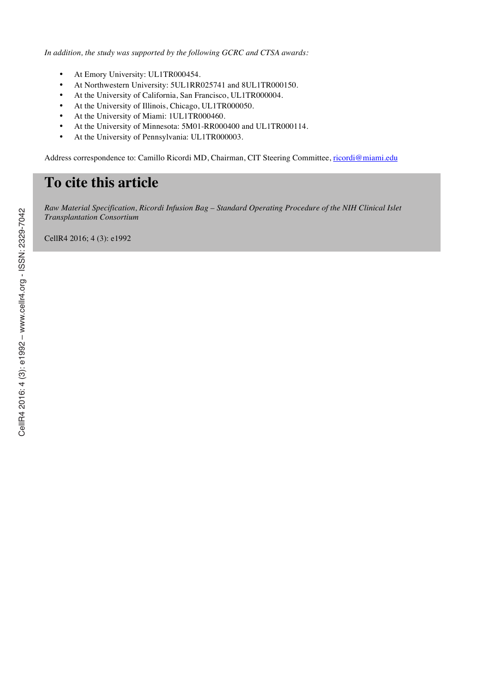*In addition, the study was supported by the following GCRC and CTSA awards:*

- At Emory University: UL1TR000454.
- At Northwestern University: 5UL1RR025741 and 8UL1TR000150.
- At the University of California, San Francisco, UL1TR000004.
- At the University of Illinois, Chicago, UL1TR000050.
- At the University of Miami: 1UL1TR000460.
- At the University of Minnesota: 5M01-RR000400 and UL1TR000114.
- At the University of Pennsylvania: UL1TR000003.

Address correspondence to: Camillo Ricordi MD, Chairman, CIT Steering Committee, ricordi@miami.edu

## **To cite this article**

*Raw Material Specification, Ricordi Infusion Bag – Standard Operating Procedure of the NIH Clinical Islet Transplantation Consortium*

CellR4 2016; 4 (3): e1992